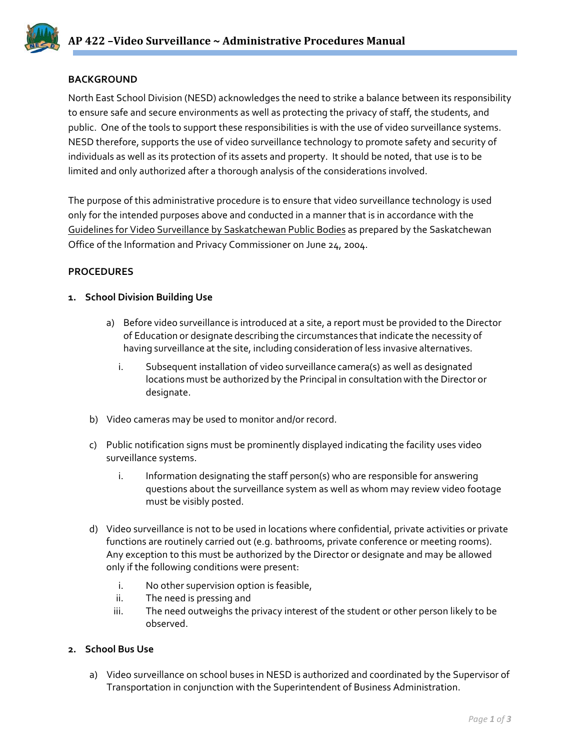## **BACKGROUND**

North East School Division (NESD) acknowledges the need to strike a balance between its responsibility to ensure safe and secure environments as well as protecting the privacy of staff, the students, and public. One of the tools to support these responsibilities is with the use of video surveillance systems. NESD therefore, supports the use of video surveillance technology to promote safety and security of individuals as well as its protection of its assets and property. It should be noted, that use is to be limited and only authorized after a thorough analysis of the considerations involved.

The purpose of this administrative procedure is to ensure that video surveillance technology is used only for the intended purposes above and conducted in a manner that is in accordance with the Guidelines for Video Surveillance by Saskatchewan Public Bodies as prepared by the Saskatchewan Office of the Information and Privacy Commissioner on June 24, 2004.

### **PROCEDURES**

### **1. School Division Building Use**

- a) Before video surveillance is introduced at a site, a report must be provided to the Director of Education or designate describing the circumstances that indicate the necessity of having surveillance at the site, including consideration of less invasive alternatives.
	- i. Subsequent installation of video surveillance camera(s) as well as designated locations must be authorized by the Principal in consultation with the Director or designate.
- b) Video cameras may be used to monitor and/or record.
- c) Public notification signs must be prominently displayed indicating the facility uses video surveillance systems.
	- i. Information designating the staff person(s) who are responsible for answering questions about the surveillance system as well as whom may review video footage must be visibly posted.
- d) Video surveillance is not to be used in locations where confidential, private activities or private functions are routinely carried out (e.g. bathrooms, private conference or meeting rooms). Any exception to this must be authorized by the Director or designate and may be allowed only if the following conditions were present:
	- i. No other supervision option is feasible,
	- ii. The need is pressing and
	- iii. The need outweighs the privacy interest of the student or other person likely to be observed.

### **2. School Bus Use**

a) Video surveillance on school buses in NESD is authorized and coordinated by the Supervisor of Transportation in conjunction with the Superintendent of Business Administration.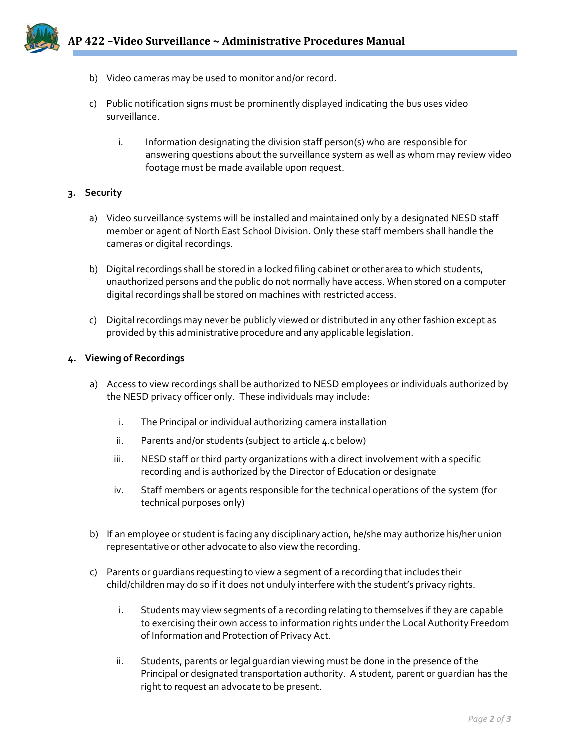- b) Video cameras may be used to monitor and/or record.
- c) Public notification signs must be prominently displayed indicating the bus uses video surveillance.
	- i. Information designating the division staff person(s) who are responsible for answering questions about the surveillance system as well as whom may review video footage must be made available upon request.

# **3. Security**

- a) Video surveillance systems will be installed and maintained only by a designated NESD staff member or agent of North East School Division. Only these staff members shall handle the cameras or digital recordings.
- b) Digital recordings shall be stored in a locked filing cabinet or other area to which students, unauthorized persons and the public do not normally have access. When stored on a computer digital recordings shall be stored on machines with restricted access.
- c) Digital recordings may never be publicly viewed or distributed in any other fashion except as provided by this administrative procedure and any applicable legislation.

### **4. Viewing of Recordings**

- a) Access to view recordings shall be authorized to NESD employees or individuals authorized by the NESD privacy officer only. These individuals may include:
	- i. The Principal or individual authorizing camera installation
	- ii. Parents and/or students (subject to article 4.c below)
	- iii. NESD staff or third party organizations with a direct involvement with a specific recording and is authorized by the Director of Education or designate
	- iv. Staff members or agents responsible for the technical operations of the system (for technical purposes only)
- b) If an employee or student is facing any disciplinary action, he/she may authorize his/her union representative or other advocate to also view the recording.
- c) Parents or guardians requesting to view a segment of a recording that includes their child/children may do so if it does not unduly interfere with the student's privacy rights.
	- i. Students may view segments of a recording relating to themselves if they are capable to exercising their own access to information rights underthe Local Authority Freedom of Information and Protection of Privacy Act.
	- ii. Students, parents or legalguardian viewing must be done in the presence of the Principal or designated transportation authority. A student, parent or guardian has the right to request an advocate to be present.